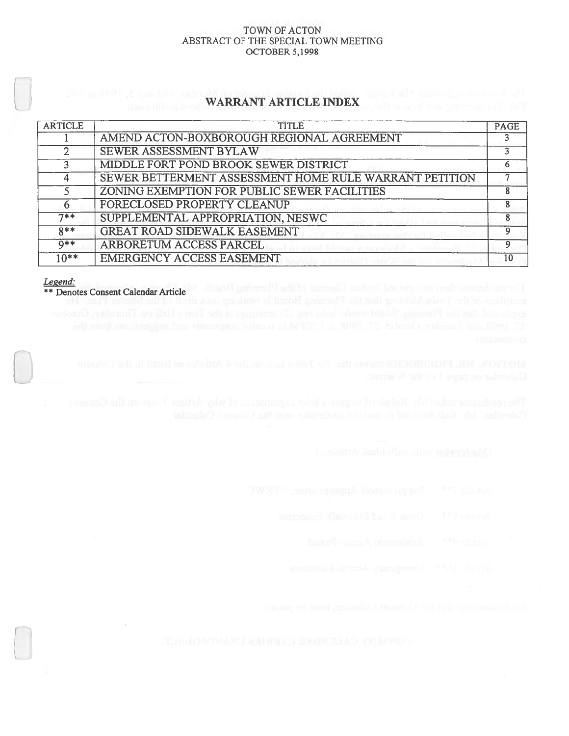## TOWN OF ACTON ABSTRACT OF THE SPECIAL TOWN MEETiNG OCTOBER 5,1998

# WARRANT ARTICLE INDEX

| <b>ARTICLE</b> | <b>TITLE</b>                                           | <b>PAGE</b> |
|----------------|--------------------------------------------------------|-------------|
|                | AMEND ACTON-BOXBOROUGH REGIONAL AGREEMENT              |             |
|                | <b>SEWER ASSESSMENT BYLAW</b>                          |             |
|                | MIDDLE FORT POND BROOK SEWER DISTRICT                  |             |
|                | SEWER BETTERMENT ASSESSMENT HOME RULE WARRANT PETITION |             |
|                | ZONING EXEMPTION FOR PUBLIC SEWER FACILITIES           |             |
| 6              | FORECLOSED PROPERTY CLEANUP                            |             |
| $7**$          | SUPPLEMENTAL APPROPRIATION, NESWC                      |             |
| $8**$          | <b>GREAT ROAD SIDEWALK EASEMENT</b>                    |             |
| $Q**$          | <b>ARBORETUM ACCESS PARCEL</b>                         |             |
| $10**$         | <b>EMERGENCY ACCESS EASEMENT</b>                       | 10          |

Legend:

\* \* Denotes Consent Calendar Article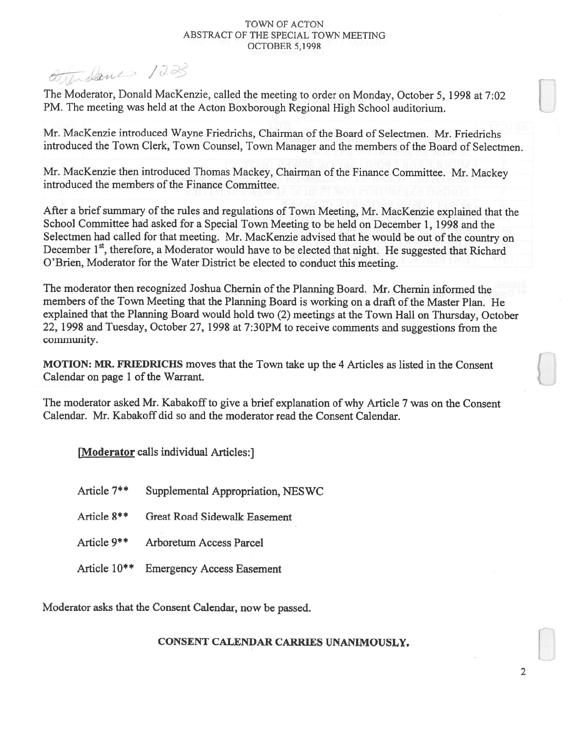## TOWN OF ACTON ABSTRACT OF THE SPECIAL TOWN MEETING OCTOBER 5,199\$

attendance 1223

The Moderator, Donald MacKenzie, called the meeting to order on Monday, October 5, 1998 at 7:02 PM. The meeting was held at the Acton Boxborough Regional High School auditorium.

Mr. MacKenzie introduced Wayne Friedrichs, Chairman of the Board of Selectmen. Mr. Friedrichs introduced the Town Clerk, Town Counsel, Town Manager and the members of the Board of Selectmen.

Mr. MacKenzie then introduced Thomas Mackey, Chairman of the Finance Committee. Mr. Mackey introduced the members of the Finance Committee.

After a brief summary of the rules and regulations of Town Meeting, Mr. MacKenzie explained that the School Committee had asked for <sup>a</sup> Special Town Meeting to be held on December 1, 1998 and the Selectmen had called for that meeting. Mr. MacKenzie advised that he would be out of the country on December  $1<sup>st</sup>$ , therefore, a Moderator would have to be elected that night. He suggested that Richard O'Brien, Moderator for the Water District be elected to conduct this meeting.

The moderator then recognized Joshua Chemin of the Planning Board. Mr. Chemin informed the members of the Town Meeting that the Planning Board is working on a draft of the Master Plan. He explained that the Planning Board would hold two (2) meetings at the Town Hall on Thursday, October 22, 1998 and Tuesday, October 27, 1998 at 7:30PM to receive comments and suggestions from the community.

MOTION: MR. FRIEDRICHS moves that the Town take up the 4 Articles as listed in the Consent Calendar on page 1 of the Warrant.

The moderator asked Mr. Kabakoff to give a brief explanation of why Article 7 was on the Consent Calendar. Mr. Kabakoff did so and the moderator read the Consent Calendar.

[Moderator calls individual Articles:]

| Article 7**  | Supplemental Appropriation, NESWC |
|--------------|-----------------------------------|
| Article 8**  | Great Road Sidewalk Easement      |
| Article 9**  | Arboretum Access Parcel           |
| Article 10** | <b>Emergency Access Easement</b>  |

Moderator asks that the Consent Calendar, now be passed.

# CONSENT CALENDAR CARRIES uNANIMOUSLY.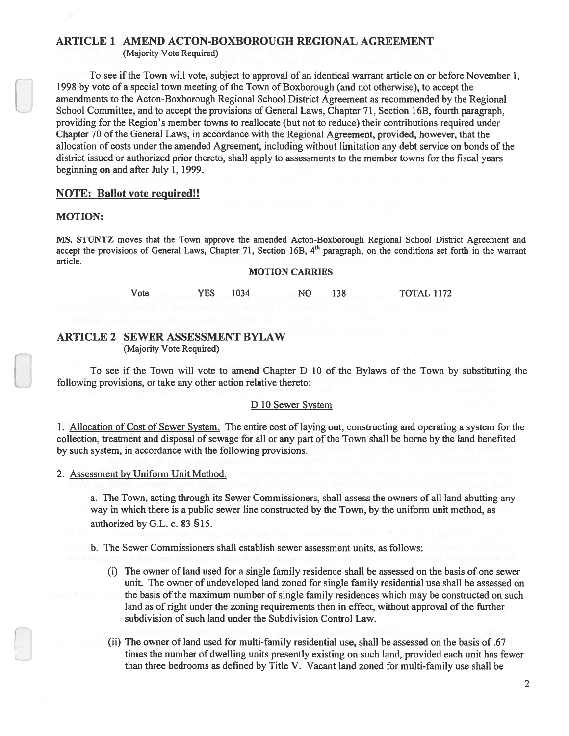# ARTICLE 1 AMEND ACTON-BOXBOROUGH REGIONAL AGREEMENT

(Majority Vote Required)

To see if the Town will vote, subject to approval of an identical warrant article on or before November 1, 1998 by vote of a special town meeting of the Town of Boxborough (and not otherwise), to accept the amendments to the Acton-Boxborough Regional School District Agreement as recommended by the Regional School Committee, and to accep<sup>t</sup> the provisions of General Laws, Chapter 71, Section 16B, fourth paragraph, providing for the Region's member towns to reallocate (but not to reduce) their contributions required under Chapter 70 of the General Laws, in accordance with the Regional Agreement, provided, however, that the allocation of costs under the amended Agreement, including without limitation any debt service on bonds of the district issued or authorized prior thereto, shall apply to assessments to the member towns for the fiscal years beginning on and after July 1, 1999.

## NOTE: Ballot vote required!!

#### MOTION:

MS. STUNTZ moves that the Town approve the amended Acton-Boxborough Regional School District Agreement and accept the provisions of General Laws, Chapter 71, Section 16B, 4<sup>th</sup> paragraph, on the conditions set forth in the warrant article.

#### MOTION CARRIES

Vote YES 1034 NO 138 TOTAL 1172

## ARTICLE 2 SEWER ASSESSMENT BYLAW (Majority Vote Required)

To see if the Town will vote to amend Chapter D 10 of the Bylaws of the Town by substituting the following provisions, or take any other action relative thereto:

## <sup>D</sup> 10 Sewer System

1. Allocation of Cost of Sewer System. The entire cost of laying out, constructing and operating <sup>a</sup> system for the collection, treatment and disposal of sewage for all or any part of the Town shall be borne by the land benefited by such system, in accordance with the following provisions.

## 2. Assessment by Uniform Unit Method.

a. The Town, acting through its Sewer Commissioners, shall assess the owners of all land abutting any way in which there is <sup>a</sup> public sewer line constructed by the Town, by the uniform unit method, as authorized by G.L. c. 83 §15.

b. The Sewer Commissioners shall establish sewer assessment units, as follows:

- (i) The owner of land used for <sup>a</sup> single family residence shall be assessed on the basis of one sewer unit. The owner of undeveloped land zoned for single family residential use shall be assessed on the basis of the maximum number of single family residences which may be constructed on such land as of right under the zoning requirements then in effect, without approval of the further subdivision of such land under the Subdivision Control Law.
- (ii) The owner of land used for multi-family residential use, shall be assessed on the basis of .67 times the number of dwelling units presently existing on such land, provided each unit has fewer than three bedrooms as defined by Title V. Vacant land zoned for multi-family use shall be

2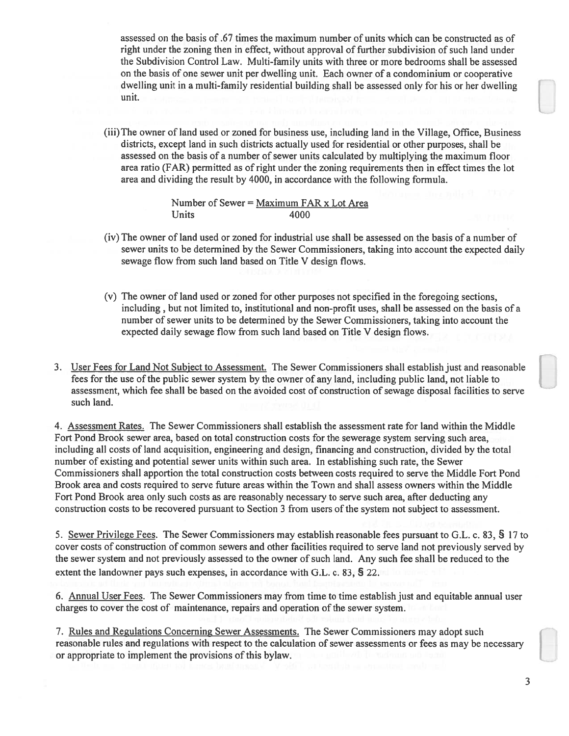assessed on the basis of .67 times the maximum number of units which can be constructed as of right under the zoning then in effect, without approval of further subdivision of such land under the Subdivision Control Law. Multi-family units with three or more bedrooms shall be assessed on the basis of one sewer unit per dwelling unit. Each owner of <sup>a</sup> condominium or cooperative dwelling unit in a multi-family residential building shall be assessed only for his or her dwelling unit.

(iii) The owner of land used or zoned for business use, including land in the Village, Office, Business districts, excep<sup>t</sup> land in such districts actually used for residential or other purposes, shall be assessed on the basis of a number of sewer units calculated by multiplying the maximum floor area ratio (FAR) permitted as of right under the zoning requirements then in effect times the lot area and dividing the result by 4000, in accordance with the following formula.

> Number of Sewer =  $Maximum FAR x Lot Area$ Units 4000

- (iv) The owner of land used or zoned for industrial use shall be assessed on the basis of <sup>a</sup> number of sewer units to be determined by the Sewer Commissioners, taking into account the expected daily sewage flow from such land based on Title V design flows.
- (v) The owner of land used or zoned for other purposes not specified in the foregoing sections, including, but not limited to, institutional and non-profit uses, shall be assessed on the basis of <sup>a</sup> number of sewer units to be determined by the Sewer Commissioners, taking into account the expected daily sewage flow from such land based on Title V design flows.
- 3. User Fees for Land Not Subject to Assessment. The Sewer Commissioners shall establish just and reasonable fees for the use of the public sewer system by the owner of any land, including public land, not liable to assessment, which fee shall be based on the avoided cost of construction of sewage disposal facilities to serve such land.

4. Assessment Rates. The Sewer Commissioners shall establish the assessment rate for land within the Middle Fort Pond Brook sewer area, based on total construction costs for the sewerage system serving such area, including all costs of land acquisition, engineering and design, financing and construction, divided by the total number of existing and potential sewer units within such area. In establishing such rate, the Sewer Commissioners shall apportion the total construction costs between costs required to serve the Middle Fort Pond Brook area and costs required to serve future areas within the Town and shall assess owners within the Middle Fort Pond Brook area only such costs as are reasonably necessary to serve such area, after deducting any construction costs to be recovered pursuan<sup>t</sup> to Section 3 from users ofthe system not subject to assessment.

5. Sewer Privilege Fees. The Sewer Commissioners may establish reasonable fees pursuan<sup>t</sup> to G.L. c. \$3, § 17 to cover costs of construction of common sewers and other facilities required to serve land not previously served by the sewer system and not previously assessed to the owner of such land. Any such fee shall be reduced to the extent the landowner pays such expenses, in accordance with G.L. c. 83, § 22.

6. Annual User Fees. The Sewer Commissioners may from time to time establish just and equitable annual user charges to cover the cost of maintenance, repairs and operation of the sewer system.

7. Rules and Regulations Concerning Sewer Assessments. The Sewer Commissioners may adopt such reasonable rules and regulations with respec<sup>t</sup> to the calculation of sewer assessments or fees as may be necessary or appropriate to implement the provisions of this bylaw.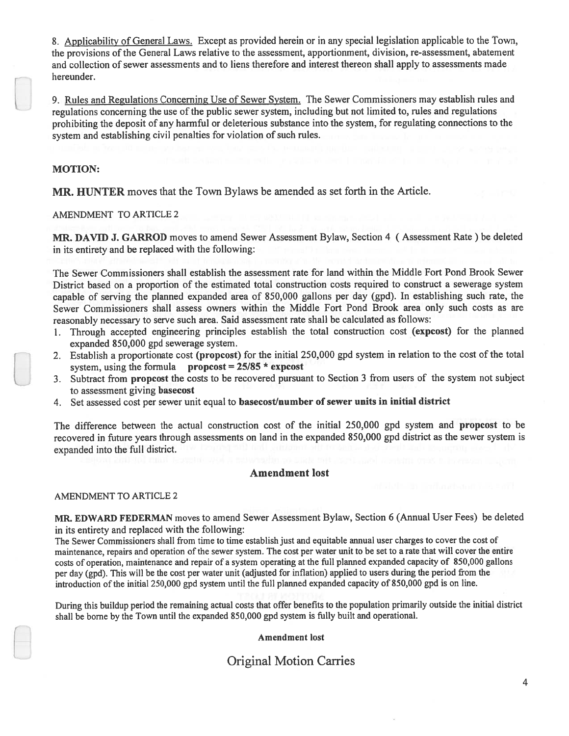8. Applicability of General Laws. Except as provided herein or in any special legislation applicable to the Town, the provisions of the General Laws relative to the assessment, apportionment, division, re-assessment, abatement and collection of sewer assessments and to liens therefore and interest thereon shall apply to assessments made hereunder.

9. Rules and Regulations Concerning Use of Sewer System. The Sewer Commissioners may establish rules and regulations concerning the use of the public sewer system, including but not limited to, rules and regulations prohibiting the deposit of any harmful or deleterious substance into the system, for regulating connections to the system and establishing civil penalties for violation of such rules.

## MOTION:

MR. HUNTER moves that the Town Bylaws be amended as set forth in the Article.

AMENDMENT TO ARTICLE 2

MR. DAVID J. GARROD moves to amend Sewer Assessment Bylaw, Section 4 (Assessment Rate) be deleted in its entirety and be replaced with the following:

The Sewer Commissioners shall establish the assessment rate for land within the Middle fort Pond Brook Sewer District based on <sup>a</sup> proportion of the estimated total construction costs required to construct <sup>a</sup> sewerage system capable of serving the <sup>p</sup>lanned expanded area of 850,000 gallons per day (gpd). In establishing such rate, the Sewer Commissioners shall assess owners within the Middle fort Pond Brook area only such costs as are reasonably necessary to serve such area. Said assessment rate shall be calculated as follows:

- 1. Through accepted engineering principles establish the total construction cost (expcost) for the <sup>p</sup>lanned expanded \$50,000 gpd sewerage system.
- 2. Establish <sup>a</sup> proportionate cost (propcost) for the initial 250,000 gpd system in relation to the cost of the total system, using the formula propcost =  $25/85$  \* expcost
- 3. Subtract from propcos<sup>t</sup> the costs to be recovered pursuan<sup>t</sup> to Section 3 from users of the system not subject to assessment giving basecost
- 4. Set assessed cost per sewer unit equal to basecost/number of sewer units in initial district

The difference between the actual construction cost of the initial 250,000 gp<sup>d</sup> system and propcos<sup>t</sup> to be recovered in future years through assessments on land in the expanded \$50,000 gpd district as the sewer system is expanded into the full district.

## Amendment lost

## AMENDMENT TO ARTICLE 2

MR. EDWARD FEDERMAN moves to amend Sewer Assessment Bylaw, Section 6 (Annual User fees) be deleted in its entirety and replaced with the following:

The Sewer Commissioners shall from time to time establish just and equitable annual user charges to cover the cost of maintenance, repairs and operation of the sewer system. The cost per water unit to be set to <sup>a</sup> rate that will cover the entire costs of operation, maintenance and repair of <sup>a</sup> system operating at the full <sup>p</sup>lanned expanded capacity of 850,000 gallons per day (gpd). This will be the cost per water unit (adjusted for inflation) applied to users during the period from the introduction of the initial 250,000 gp<sup>d</sup> system until the full <sup>p</sup>lanned expanded capacity of \$50,000 gp<sup>d</sup> is on line.

During this buildup period the remaining actual costs that offer benefits to the population primarily outside the initial district shall be borne by the Town until the expanded 850,000 gpd system is fully built and operational.

Amendment lost

# Original Motion Carries

4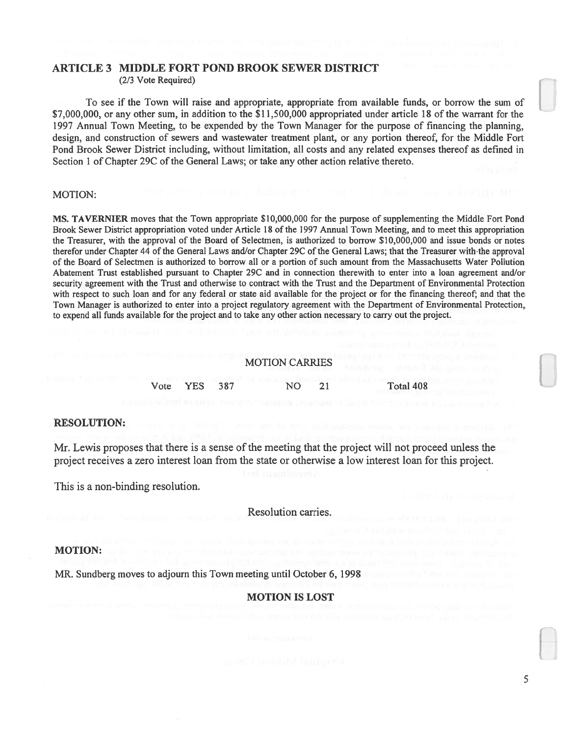# ARTICLE 3 MIDDLE FORT POND BROOK SEWER DISTRICT

(2/3 Vote Required)

To see if the Town will raise and appropriate, appropriate from available funds, or borrow the sum of \$7,000,000, or any other sum, in addition to the \$11,500,000 appropriated under article 18 of the warrant for the 1997 Annual Town Meeting, to be expended by the Town Manager for the purpose of financing the planning, design, and construction of sewers and wastewater treatment plant, or any portion thereof, for the Middle Fort Pond Brook Sewer District including, without limitation, all costs and any related expenses thereof as defined in Section 1 of Chapter 29C of the General Laws; or take any other action relative thereto.

## MOTION:

MS. TAVERNIER moves that the Town appropriate \$10,000,000 for the purpose of supplementing the Middle Fort Pond Brook Sewer District appropriation voted under Article 18 of the 1997 Annual Town Meeting, and to meet this appropriation the Treasurer, with the approval of the Board of Selectmen, is authorized to borrow \$10,000,000 and issue bonds or notes therefor under Chapter 44 of the General Laws and/or Chapter 29C of the General Laws; that the Treasurer with•the approval of the Board of Selectmen is authorized to borrow all or <sup>a</sup> portion of such amount from the Massachusetts Water Pollution Abatement Trust established pursuan<sup>t</sup> to Chapter 29C and in connection therewith to enter into <sup>a</sup> loan agreemen<sup>t</sup> and/or security agreemen<sup>t</sup> with the Trust and otherwise to contract with the Trust and the Department of Environmental Protection with respec<sup>t</sup> to such loan and for any federal or state aid available for the project or for the financing thereof; and that the Town Manager is authorized to enter into <sup>a</sup> project regulatory agreemen<sup>t</sup> with the Department of Environmental Protection, to expend all funds available for the project and to take any other action necessary to carry out the project.

### MOTION CARRIES

Vote YES 3\$7 NO 21 Total 408

#### RESOLUTION:

Mr. Lewis proposes that there is <sup>a</sup> sense of the meeting that the project will not proceed unless the project receives <sup>a</sup> zero interest loan from the state or otherwise <sup>a</sup> low interest loan for this project.

This is <sup>a</sup> non-binding resolution.

Resolution carries.

#### MOTION:

MR. Sundberg moves to adjourn this Town meeting until October 6, 1998

## MOTION IS LOST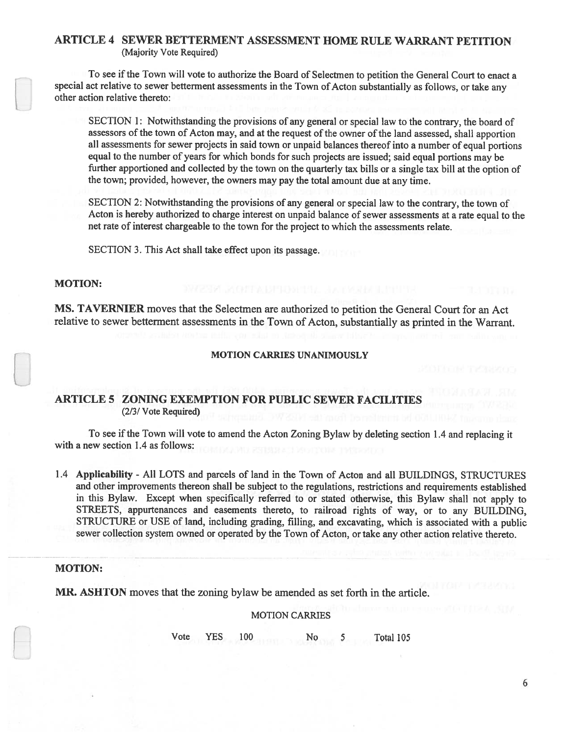## ARTICLE 4 SEWER BETTERMENT ASSESSMENT HOME RULE WARRANT PETITION (Majority Vote Required)

To see if the Town will vote to authorize the Board of Selectmen to petition the General Court to enact <sup>a</sup> special act relative to sewer betterment assessments in the Town of Acton substantially as follows, or take any other action relative thereto:

SECTION 1: Notwithstanding the provisions of any genera<sup>l</sup> or special law to the contrary, the board of assessors of the town of Acton may, and at the request of the owner of the land assessed, shall apportion all assessments for sewer projects in said town or unpaid balances thereof into <sup>a</sup> number of equa<sup>l</sup> portions equa<sup>l</sup> to the number of years for which bonds for such projects are issued; said equa<sup>l</sup> portions may be further apportioned and collected by the town on the quarterly tax bills or <sup>a</sup> single tax bill at the option of the town; provided, however, the owners may pay the total amount due at any time.

SECTION 2: Notwithstanding the provisions of any genera<sup>l</sup> or special law to the contrary, the town of Acton is hereby authorized to charge interest on unpaid balance of sewer assessments at <sup>a</sup> rate equa<sup>l</sup> to the net rate of interest chargeable to the town for the project to which the assessments relate.

SECTION 3. This Act shall take effect upon its passage.

## MOTION:

MS. TAVERNIER moves that the Selectmen are authorized to petition the General Court for an Act relative to sewer betterment assessments in the Town of Acton, substantially as printed in the Warrant.

#### MOTION CARRIES UNANIMOUSLY

## ARTICLE 5 ZONING EXEMPTION FOR PUBLIC SEWER FACILITIES (2/3/ Vote Required)

To see ifthe Town will vote to amend the Acton Zoning Bylaw by deleting section 1.4 and replacing it with <sup>a</sup> new section 1.4 as follows:

1.4 Applicability - All LOTS and parcels of land in the Town of Acton and all BUILDINGS, STRUCTURES and other improvements thereon shall be subject to the regulations, restrictions and requirements established in this Bylaw. Except when specifically referred to or stated otherwise, this Bylaw shall not apply to STREETS, appurtenances and easements thereto, to railroad rights of way, or to any BUILDING, STRUCTURE or USE of land, including grading, filling, and excavating, which is associated with <sup>a</sup> public sewer collection system owned or operated by the Town of Acton, or take any other action relative thereto.

#### MOTION:

MR. ASHTON moves that the zoning bylaw be amended as set forth in the article.

#### MOTION CARRIES

Vote YES 100 No 5 Total 105

6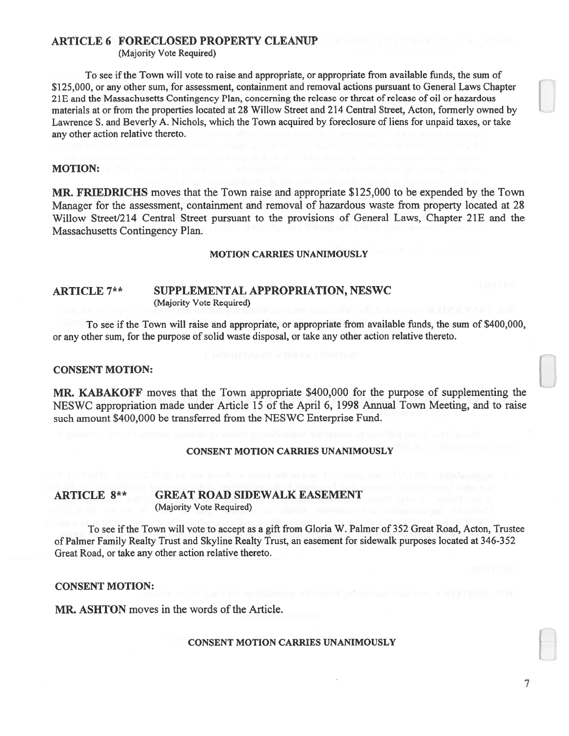## ARTICLE 6 FORECLOSED PROPERTY CLEANUP

(Majority Vote Required)

To see if the Town will vote to raise and appropriate, or appropriate from available funds, the sum of \$125,000, or any other sum, for assessment, containment and removal actions pursuan<sup>t</sup> to General Laws Chapter 21E and the Massachusetts Contingency Plan, concerning the release or threat of release of oil or hazardous materials at or from the properties located at 2\$ Willow Street and 214 Central Street, Acton, formerly owned by Lawrence S. and Beverly A. Nichols, which the Town acquired by foreclosure of liens for unpaid taxes, or take any other action relative thereto.

## MOTION:

MR. FRIEDRICHS moves that the Town raise and appropriate \$125,000 to be expended by the Town Manager for the assessment, containment and removal of hazardous waste from property located at 28 Willow Street/214 Central Street pursuant to the provisions of General Laws, Chapter 21E and the Massachusetts Contingency Plan.

#### MOTION CARRIES UNANIMOUSLY

## ARTICLE 7\*\* SUPPLEMENTAL APPROPRIATION, NESWC (Majority Vote Required)

To see if the Town will raise and appropriate, or appropriate from available funds, the sum of \$400,000, or any other sum, for the purpose of solid waste disposal, or take any other action relative thereto.

## CONSENT MOTION:

MR. KABAKOFF moves that the Town appropriate \$400,000 for the purpose of supplementing the NESWC appropriation made under Article 15 of the April 6, 1998 Annual Town Meeting, and to raise such amount \$400,000 be transferred from the NESWC Enterprise fund.

#### CONSENT MOTION CARRIES UNANIMOUSLY

## ARTICLE 8\*\* GREAT ROAD SIDEWALK EASEMENT (Majority Vote Required)

To see ifthe Town will vote to accep<sup>t</sup> as <sup>a</sup> gift from Gloria W. Palmer of 352 Great Road, Acton, Trustee of Palmer family Realty Trust and Skyline Realty Trust, an easement for sidewalk purposes located at 346-3 52 Great Road, or take any other action relative thereto.

#### CONSENT MOTION:

MR. ASHTON moves in the words of the Article.

### CONSENT MOTION CARRIES UNANIMOUSLY